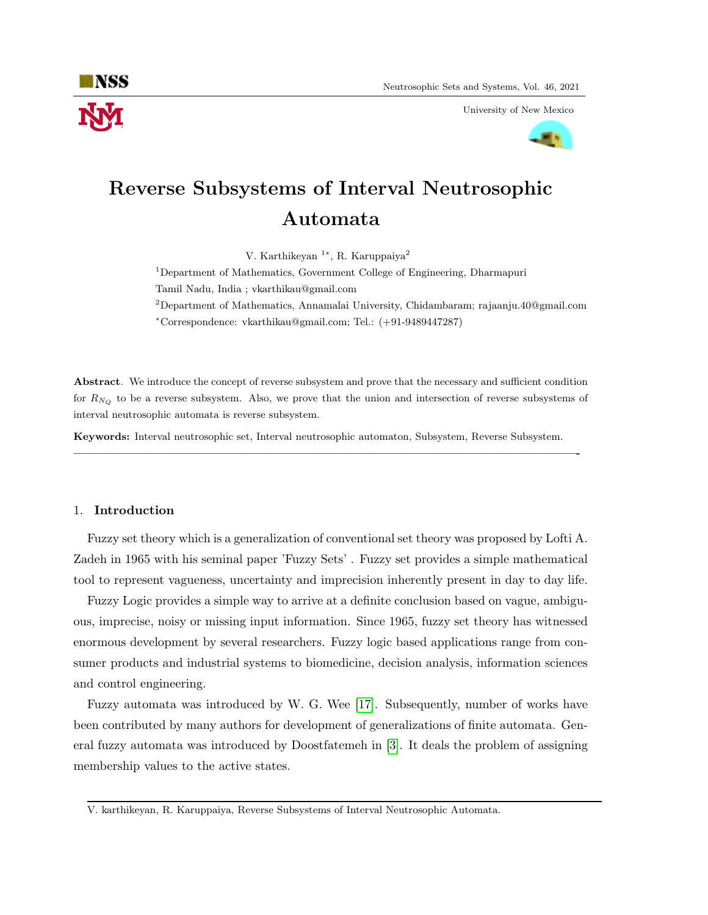

University of New Mexico



# Reverse Subsystems of Interval Neutrosophic Automata

V. Karthikeyan <sup>1</sup><sup>\*</sup>, R. Karuppaiya<sup>2</sup>

<sup>1</sup>Department of Mathematics, Government College of Engineering, Dharmapuri Tamil Nadu, India ; vkarthikau@gmail.com

<sup>2</sup>Department of Mathematics, Annamalai University, Chidambaram; rajaanju.40@gmail.com <sup>∗</sup>Correspondence: vkarthikau@gmail.com; Tel.: (+91-9489447287)

Abstract. We introduce the concept of reverse subsystem and prove that the necessary and sufficient condition for  $R_{N_Q}$  to be a reverse subsystem. Also, we prove that the union and intersection of reverse subsystems of interval neutrosophic automata is reverse subsystem.

Keywords: Interval neutrosophic set, Interval neutrosophic automaton, Subsystem, Reverse Subsystem.

—————————————————————————————————————————-

### 1. Introduction

Fuzzy set theory which is a generalization of conventional set theory was proposed by Lofti A. Zadeh in 1965 with his seminal paper 'Fuzzy Sets' . Fuzzy set provides a simple mathematical tool to represent vagueness, uncertainty and imprecision inherently present in day to day life.

Fuzzy Logic provides a simple way to arrive at a definite conclusion based on vague, ambiguous, imprecise, noisy or missing input information. Since 1965, fuzzy set theory has witnessed enormous development by several researchers. Fuzzy logic based applications range from consumer products and industrial systems to biomedicine, decision analysis, information sciences and control engineering.

Fuzzy automata was introduced by W. G. Wee [\[17\]](#page-7-0). Subsequently, number of works have been contributed by many authors for development of generalizations of finite automata. General fuzzy automata was introduced by Doostfatemeh in [\[3\]](#page-6-0). It deals the problem of assigning membership values to the active states.

V. karthikeyan, R. Karuppaiya, Reverse Subsystems of Interval Neutrosophic Automata.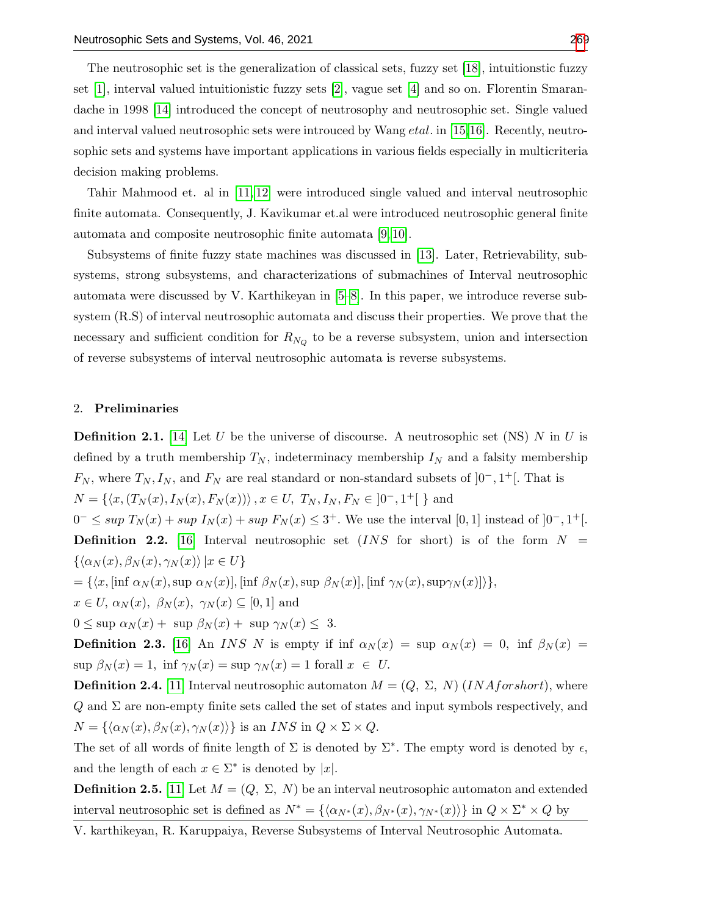The neutrosophic set is the generalization of classical sets, fuzzy set [\[18\]](#page-7-2), intuitionstic fuzzy set [\[1\]](#page-6-1), interval valued intuitionistic fuzzy sets [\[2\]](#page-6-2), vague set [\[4\]](#page-6-3) and so on. Florentin Smarandache in 1998 [\[14\]](#page-7-3) introduced the concept of neutrosophy and neutrosophic set. Single valued and interval valued neutrosophic sets were introuced by Wang *etal*. in [\[15,](#page-7-4)[16\]](#page-7-5). Recently, neutrosophic sets and systems have important applications in various fields especially in multicriteria decision making problems.

Tahir Mahmood et. al in [\[11,](#page-7-6) [12\]](#page-7-7) were introduced single valued and interval neutrosophic finite automata. Consequently, J. Kavikumar et.al were introduced neutrosophic general finite automata and composite neutrosophic finite automata [\[9,](#page-7-8) [10\]](#page-7-9).

Subsystems of finite fuzzy state machines was discussed in [\[13\]](#page-7-10). Later, Retrievability, subsystems, strong subsystems, and characterizations of submachines of Interval neutrosophic automata were discussed by V. Karthikeyan in [\[5–](#page-6-4)[8\]](#page-6-5). In this paper, we introduce reverse subsystem (R.S) of interval neutrosophic automata and discuss their properties. We prove that the necessary and sufficient condition for  $R_{N_Q}$  to be a reverse subsystem, union and intersection of reverse subsystems of interval neutrosophic automata is reverse subsystems.

#### 2. Preliminaries

**Definition 2.1.** [\[14\]](#page-7-3) Let U be the universe of discourse. A neutrosophic set (NS) N in U is defined by a truth membership  $T_N$ , indeterminacy membership  $I_N$  and a falsity membership  $F_N$ , where  $T_N, I_N$ , and  $F_N$  are real standard or non-standard subsets of  $]0^-, 1^+[$ . That is  $N = \{ \langle x, (T_N(x), I_N(x), F_N(x)) \rangle, x \in U, T_N, I_N, F_N \in ]0^-, 1^+] \}$  and

 $0^- \leq \sup T_N(x) + \sup I_N(x) + \sup F_N(x) \leq 3^+$ . We use the interval [0, 1] instead of  $]0^-, 1^+[$ . **Definition 2.2.** [\[16\]](#page-7-5) Interval neutrosophic set  $(INS\ for\ short)$  is of the form  $N =$  $\{\langle \alpha_N (x), \beta_N (x), \gamma_N (x)\rangle |x \in U\}$ 

$$
= \{ \langle x, [\inf \alpha_N(x), \sup \alpha_N(x)], [\inf \beta_N(x), \sup \beta_N(x)], [\inf \gamma_N(x), \sup \gamma_N(x)] \rangle \},
$$

 $x \in U$ ,  $\alpha_N(x)$ ,  $\beta_N(x)$ ,  $\gamma_N(x) \subseteq [0,1]$  and

 $0 \leq$  sup  $\alpha_N(x)$  + sup  $\beta_N(x)$  + sup  $\gamma_N(x) \leq 3$ .

**Definition 2.3.** [\[16\]](#page-7-5) An INS N is empty if inf  $\alpha_N(x) = \text{sup } \alpha_N(x) = 0$ , inf  $\beta_N(x) =$  $\sup \beta_N(x) = 1$ ,  $\inf \gamma_N(x) = \sup \gamma_N(x) = 1$  forall  $x \in U$ .

**Definition 2.4.** [\[11\]](#page-7-6) Interval neutrosophic automaton  $M = (Q, \Sigma, N)$  (*INAforshort*), where  $Q$  and  $\Sigma$  are non-empty finite sets called the set of states and input symbols respectively, and  $N = {\langle \alpha_N (x), \beta_N (x), \gamma_N (x) \rangle }$  is an INS in  $Q \times \Sigma \times Q$ .

The set of all words of finite length of  $\Sigma$  is denoted by  $\Sigma^*$ . The empty word is denoted by  $\epsilon$ , and the length of each  $x \in \Sigma^*$  is denoted by |x|.

**Definition 2.5.** [\[11\]](#page-7-6) Let  $M = (Q, \Sigma, N)$  be an interval neutrosophic automaton and extended interval neutrosophic set is defined as  $N^* = \{\langle \alpha_{N^*}(x), \beta_{N^*}(x), \gamma_{N^*}(x) \rangle\}$  in  $Q \times \Sigma^* \times Q$  by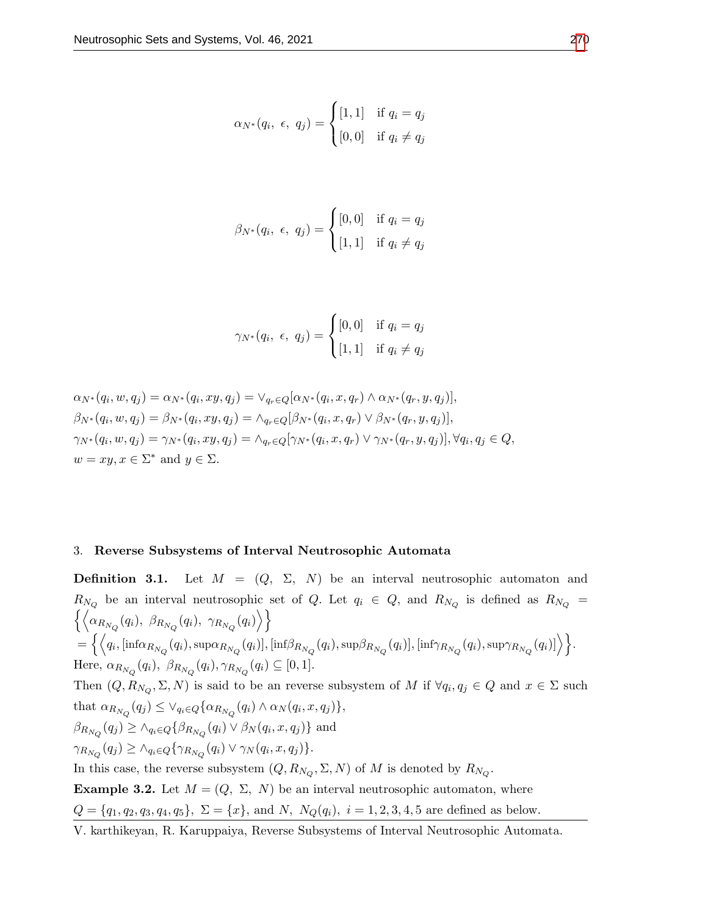$$
\alpha_{N^*}(q_i, \epsilon, q_j) = \begin{cases} [1,1] & \text{if } q_i = q_j \\ [0,0] & \text{if } q_i \neq q_j \end{cases}
$$

$$
\beta_{N^*}(q_i, \epsilon, q_j) = \begin{cases} [0,0] & \text{if } q_i = q_j \\ [1,1] & \text{if } q_i \neq q_j \end{cases}
$$

$$
\gamma_{N^*}(q_i, \epsilon, q_j) = \begin{cases} [0,0] & \text{if } q_i = q_j \\ [1,1] & \text{if } q_i \neq q_j \end{cases}
$$

$$
\alpha_{N^*}(q_i, w, q_j) = \alpha_{N^*}(q_i, xy, q_j) = \vee_{q_r \in Q} [\alpha_{N^*}(q_i, x, q_r) \wedge \alpha_{N^*}(q_r, y, q_j)],
$$
  
\n
$$
\beta_{N^*}(q_i, w, q_j) = \beta_{N^*}(q_i, xy, q_j) = \wedge_{q_r \in Q} [\beta_{N^*}(q_i, x, q_r) \vee \beta_{N^*}(q_r, y, q_j)],
$$
  
\n
$$
\gamma_{N^*}(q_i, w, q_j) = \gamma_{N^*}(q_i, xy, q_j) = \wedge_{q_r \in Q} [\gamma_{N^*}(q_i, x, q_r) \vee \gamma_{N^*}(q_r, y, q_j)], \forall q_i, q_j \in Q,
$$
  
\n
$$
w = xy, x \in \Sigma^* \text{ and } y \in \Sigma.
$$

#### 3. Reverse Subsystems of Interval Neutrosophic Automata

**Definition 3.1.** Let  $M = (Q, \Sigma, N)$  be an interval neutrosophic automaton and  $R_{N_Q}$  be an interval neutrosophic set of Q. Let  $q_i \in Q$ , and  $R_{N_Q}$  is defined as  $R_{N_Q}$  =  $\left\{ \left\langle \alpha_{R_{N_Q}}(q_i),\;\beta_{R_{N_Q}}(q_i),\;\gamma_{R_{N_Q}}(q_i) \right\rangle \right\}$  $=\Big\{\Big\langle q_i, \big[\mathrm{inf}\alpha_{R_{N_Q}}(q_i), \mathrm{sup}\alpha_{R_{N_Q}}(q_i)\big], \big[\mathrm{inf}\beta_{R_{N_Q}}(q_i), \mathrm{sup}\beta_{R_{N_Q}}(q_i)\big], \big[\mathrm{inf}\gamma_{R_{N_Q}}(q_i), \mathrm{sup}\gamma_{R_{N_Q}}(q_i)\big]\Big\rangle\Big\}.$ Here,  $\alpha_{R_{N_Q}}(q_i)$ ,  $\beta_{R_{N_Q}}(q_i)$ ,  $\gamma_{R_{N_Q}}(q_i) \subseteq [0, 1]$ . Then  $(Q, R_{N_Q}, \Sigma, N)$  is said to be an reverse subsystem of M if  $\forall q_i, q_j \in Q$  and  $x \in \Sigma$  such that  $\alpha_{R_{N_Q}}(q_j) \leq \vee_{q_i \in Q} {\alpha_{R_{N_Q}}(q_i) \wedge \alpha_N(q_i, x, q_j)},$  $\beta_{R_{N_Q}}(q_j) \ge \wedge_{q_i \in Q} \{\beta_{R_{N_Q}}(q_i) \vee \beta_N(q_i, x, q_j)\}$  and  $\gamma_{R_{N_Q}}(q_j) \geq \wedge_{q_i \in Q} {\gamma_{R_{N_Q}}(q_i) \vee \gamma_N(q_i, x, q_j)}.$ In this case, the reverse subsystem  $(Q, R_{N_Q}, \Sigma, N)$  of M is denoted by  $R_{N_Q}$ . **Example 3.2.** Let  $M = (Q, \Sigma, N)$  be an interval neutrosophic automaton, where

 $Q = \{q_1, q_2, q_3, q_4, q_5\}, \ \Sigma = \{x\}, \text{ and } N, N_Q(q_i), i = 1, 2, 3, 4, 5 \text{ are defined as below.}$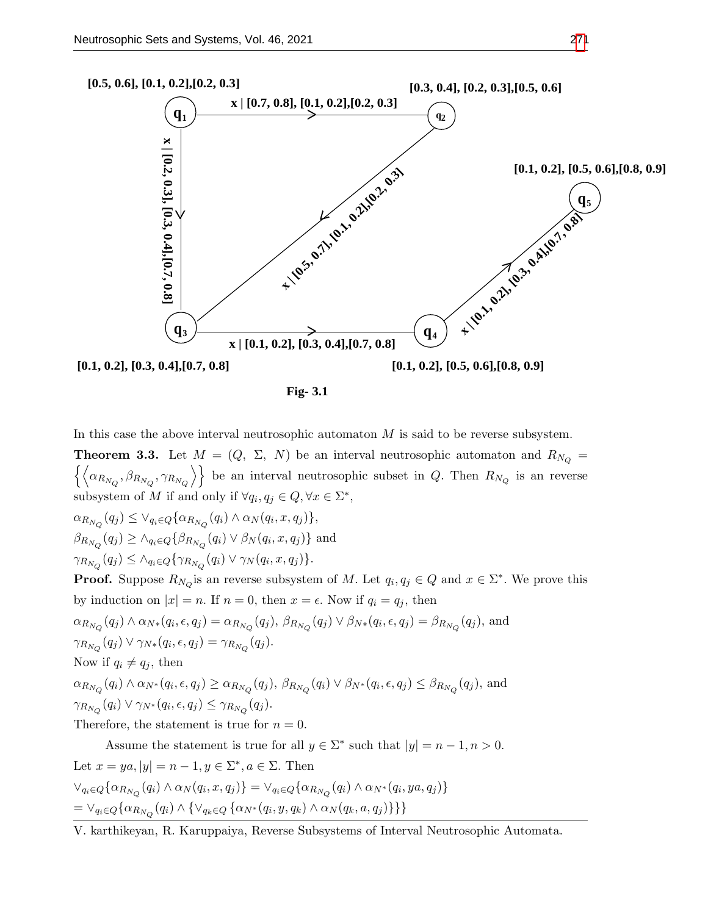

*Fig- 3.1*

In this case the above interval neutrosophic automaton  $M$  is said to be reverse subsystem.

**Theorem 3.3.** Let  $M = (Q, \Sigma, N)$  be an interval neutrosophic automaton and  $R_{N_Q}$  $\{(\alpha_{R_{N_Q}}, \beta_{R_{N_Q}}, \gamma_{R_{N_Q}})\}\$ be an interval neutrosophic subset in Q. Then  $R_{N_Q}$  is an reverse subsystem of M if and only if  $\forall q_i, q_j \in Q, \forall x \in \Sigma^*$ ,

 $\alpha_{R_{N_Q}}(q_j) \leq \vee_{q_i \in Q} {\alpha_{R_{N_Q}}(q_i) \wedge \alpha_N(q_i, x, q_j)},$ 

 $\beta_{R_{N_Q}}(q_j) \ge \wedge_{q_i \in Q} \{\beta_{R_{N_Q}}(q_i) \vee \beta_N(q_i, x, q_j)\}$  and

 $\gamma_{R_{N_Q}}(q_j) \leq \wedge_{q_i \in Q} \{ \gamma_{R_{N_Q}}(q_i) \vee \gamma_N(q_i, x, q_j) \}.$ 

**Proof.** Suppose  $R_{N_Q}$  is an reverse subsystem of M. Let  $q_i, q_j \in Q$  and  $x \in \Sigma^*$ . We prove this by induction on  $|x| = n$ . If  $n = 0$ , then  $x = \epsilon$ . Now if  $q_i = q_j$ , then

$$
\alpha_{R_{N_Q}}(q_j) \wedge \alpha_{N*}(q_i, \epsilon, q_j) = \alpha_{R_{N_Q}}(q_j), \ \beta_{R_{N_Q}}(q_j) \vee \beta_{N*}(q_i, \epsilon, q_j) = \beta_{R_{N_Q}}(q_j), \text{ and}
$$
  

$$
\gamma_{R_{N_Q}}(q_j) \vee \gamma_{N*}(q_i, \epsilon, q_j) = \gamma_{R_{N_Q}}(q_j).
$$

Now if  $q_i \neq q_j$ , then

 $\alpha_{R_{N_Q}}(q_i) \wedge \alpha_{N^*}(q_i, \epsilon, q_j) \ge \alpha_{R_{N_Q}}(q_j), \ \beta_{R_{N_Q}}(q_i) \vee \beta_{N^*}(q_i, \epsilon, q_j) \le \beta_{R_{N_Q}}(q_j),$  and  $\gamma_{R_{N_Q}}(q_i) \vee \gamma_{N^*}(q_i, \epsilon, q_j) \leq \gamma_{R_{N_Q}}(q_j).$ 

Therefore, the statement is true for  $n = 0$ .

Assume the statement is true for all  $y \in \Sigma^*$  such that  $|y| = n - 1, n > 0$ . Let  $x = ya, |y| = n - 1, y \in \Sigma^*, a \in \Sigma$ . Then  $\vee_{q_i \in Q} \{ \alpha_{R_{N_Q}}(q_i) \wedge \alpha_N(q_i, x, q_j) \} = \vee_{q_i \in Q} \{ \alpha_{R_{N_Q}}(q_i) \wedge \alpha_{N^*}(q_i, ya, q_j) \}$  $= \vee_{q_i \in Q} \{ \alpha_{R_{N_Q}}(q_i) \wedge \{ \vee_{q_k \in Q} \{ \alpha_{N^*}(q_i, y, q_k) \wedge \alpha_N(q_k, a, q_j) \} \} \}$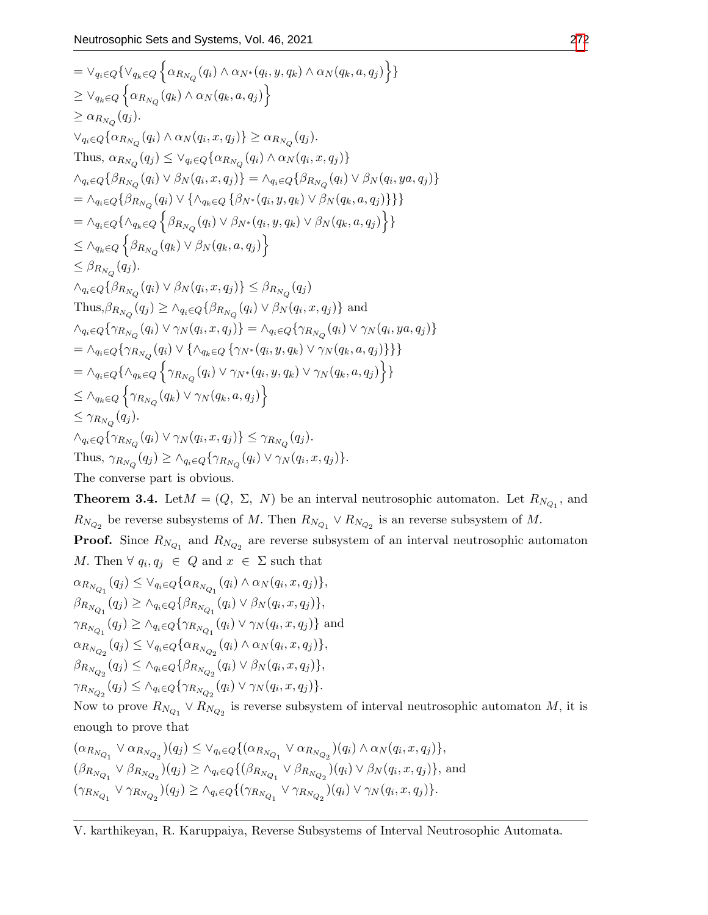$$
= \vee_{q_i \in Q} \{ \vee_{q_k \in Q} \{ \alpha_{R_{N_Q}}(q_i) \wedge \alpha_{N^*}(q_i, y, q_k) \wedge \alpha_{N}(q_k, a, q_j) \} \}
$$
  
\n
$$
\geq \vee_{q_k \in Q} \{ \alpha_{R_{N_Q}}(q_k) \wedge \alpha_{N}(q_k, a, q_j) \}
$$
  
\n
$$
\geq \alpha_{R_{N_Q}}(q_j).
$$
  
\nThus,  $\alpha_{R_{N_Q}}(q_j) \leq \vee_{q_i \in Q} \{ \alpha_{R_{N_Q}}(q_i) \wedge \alpha_{N}(q_i, x, q_j) \}$   
\nThus,  $\alpha_{R_{N_Q}}(q_j) \leq \vee_{q_i \in Q} \{ \alpha_{R_{N_Q}}(q_i) \wedge \alpha_{N}(q_i, x, q_j) \}$   
\n
$$
\wedge_{q_i \in Q} \{ \beta_{R_{N_Q}}(q_i) \vee \beta_{N}(q_i, x, q_j) \} = \wedge_{q_i \in Q} \{ \beta_{R_{N_Q}}(q_i) \vee \beta_{N}(q_i, y, a, q_j) \}
$$
  
\n
$$
= \wedge_{q_i \in Q} \{ \beta_{R_{N_Q}}(q_i) \vee \{ \wedge_{q_k \in Q} \{ \beta_{N^*}(q_i, y, q_k) \vee \beta_{N}(q_k, a, q_j) \} \}
$$
  
\n
$$
= \wedge_{q_k \in Q} \{ \beta_{R_{N_Q}}(q_i) \vee \beta_{N}(q_k, a, q_j) \}
$$
  
\n
$$
\leq \beta_{R_{N_Q}}(q_j).
$$
  
\n
$$
\wedge_{q_i \in Q} \{ \beta_{R_{N_Q}}(q_i) \vee \beta_{N}(q_i, x, q_j) \}
$$
  
\n
$$
\leq \beta_{R_{N_Q}}(q_j).
$$
  
\nThus,  $\beta_{R_{N_Q}}(q_j) \geq \wedge_{q_i \in Q} \{ \beta_{R_{N_Q}}(q_i) \vee \beta_{N}(q_i, x, q_j) \}$  and  
\n
$$
\wedge_{q_i \in Q} \{ \gamma_{R_{N_Q}}(q_i) \vee \gamma_{N}(q_i, x, q_j) \}
$$
  
\n
$$
=
$$

**Theorem 3.4.** Let  $M = (Q, \Sigma, N)$  be an interval neutrosophic automaton. Let  $R_{N_{Q_1}}$ , and  $R_{N_{Q_2}}$  be reverse subsystems of M. Then  $R_{N_{Q_1}} \vee R_{N_{Q_2}}$  is an reverse subsystem of M. **Proof.** Since  $R_{N_{Q_1}}$  and  $R_{N_{Q_2}}$  are reverse subsystem of an interval neutrosophic automaton M. Then  $\forall q_i, q_j \in Q$  and  $x \in \Sigma$  such that  $\alpha_{\rm R}$ 

$$
\alpha_{R_{N_{Q_1}}}(q_j) \leq \vee_{q_i \in Q} {\alpha_{R_{N_{Q_1}}}(q_i) \wedge \alpha_N(q_i, x, q_j)},
$$
  
\n
$$
\beta_{R_{N_{Q_1}}}(q_j) \geq \wedge_{q_i \in Q} {\beta_{R_{N_{Q_1}}}(q_i) \vee \beta_N(q_i, x, q_j)},
$$
  
\n
$$
\gamma_{R_{N_{Q_1}}}(q_j) \geq \wedge_{q_i \in Q} {\gamma_{R_{N_{Q_1}}}(q_i) \vee \gamma_N(q_i, x, q_j)} \text{ and}
$$
  
\n
$$
\alpha_{R_{N_{Q_2}}}(q_j) \leq \vee_{q_i \in Q} {\alpha_{R_{N_{Q_2}}}(q_i) \wedge \alpha_N(q_i, x, q_j)},
$$
  
\n
$$
\beta_{R_{N_{Q_2}}}(q_j) \leq \wedge_{q_i \in Q} {\beta_{R_{N_{Q_2}}}(q_i) \vee \beta_N(q_i, x, q_j)}.
$$
  
\n
$$
\gamma_{R_{N_{Q_2}}}(q_j) \leq \wedge_{q_i \in Q} {\gamma_{R_{N_{Q_2}}}(q_i) \vee \gamma_N(q_i, x, q_j)}.
$$

Now to prove  $R_{N_{Q_1}} \vee R_{N_{Q_2}}$  is reverse subsystem of interval neutrosophic automaton M, it is enough to prove that

$$
(\alpha_{R_{N_{Q_1}}} \vee \alpha_{R_{N_{Q_2}}})(q_j) \leq \vee_{q_i \in Q} \{ (\alpha_{R_{N_{Q_1}}} \vee \alpha_{R_{N_{Q_2}}})(q_i) \wedge \alpha_N(q_i, x, q_j) \},
$$
  

$$
(\beta_{R_{N_{Q_1}}} \vee \beta_{R_{N_{Q_2}}})(q_j) \geq \wedge_{q_i \in Q} \{ (\beta_{R_{N_{Q_1}}} \vee \beta_{R_{N_{Q_2}}})(q_i) \vee \beta_N(q_i, x, q_j) \},
$$
and  

$$
(\gamma_{R_{N_{Q_1}}} \vee \gamma_{R_{N_{Q_2}}})(q_j) \geq \wedge_{q_i \in Q} \{ (\gamma_{R_{N_{Q_1}}} \vee \gamma_{R_{N_{Q_2}}})(q_i) \vee \gamma_N(q_i, x, q_j) \}.
$$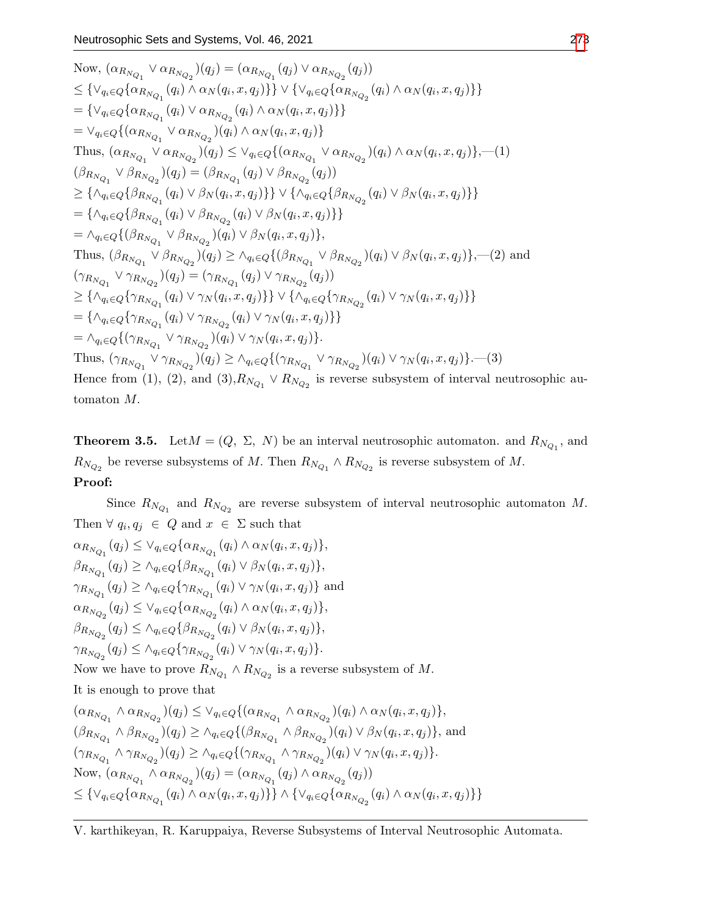Now, 
$$
(\alpha_{R_{N_{Q_1}}}\vee \alpha_{R_{N_{Q_2}}})(q_j) = (\alpha_{R_{N_{Q_1}}}(q_j) \vee \alpha_{R_{N_{Q_2}}}(q_j))
$$
  
\n
$$
\leq {\vee_{q_i \in Q} {\{\alpha_{R_{N_{Q_1}}}(q_i) \wedge \alpha_N(q_i, x, q_j)\}} \vee {\{\vee_{q_i \in Q} {\{\alpha_{R_{N_{Q_1}}}(q_i) \wedge \alpha_N(q_i, x, q_j)\}}\}}}
$$
\n
$$
= {\ve_{q_i \in Q} {\{\alpha_{R_{N_{Q_1}}}\vee \alpha_{R_{N_{Q_2}}}(q_i) \wedge \alpha_N(q_i, x, q_j)\}}}
$$
\nThus,  $(\alpha_{R_{N_{Q_1}}} \vee \alpha_{R_{N_{Q_2}}})(q_j) \leq {\vee_{q_i \in Q} {\{\alpha_{R_{N_{Q_1}}}\vee \alpha_{R_{N_{Q_2}}}(q_i) \wedge \alpha_N(q_i, x, q_j)\}}}, \text{Thus, } (\alpha_{R_{N_{Q_1}}} \vee \alpha_{R_{N_{Q_2}}}(q_j) \leq {\vee_{q_i \in Q} {\{\alpha_{R_{N_{Q_1}}}\vee \alpha_{R_{N_{Q_2}}}(q_i) \}}})$ \n
$$
\geq {\{\wedge_{q_i \in Q} {\{\beta_{R_{N_{Q_1}}}(q_i) \vee \beta_N(q_i, x, q_j)\}} \}} \vee {\{\wedge_{q_i \in Q} {\{\beta_{R_{N_{Q_1}}}(q_i) \vee \beta_N(q_i, x, q_j)\}}\}}}
$$
\n
$$
= {\{\wedge_{q_i \in Q} {\{\beta_{R_{N_{Q_1}}}(q_i) \vee \beta_{R_{N_{Q_2}}}(q_i) \vee \beta_N(q_i, x, q_j)\}}\}}}
$$
\n
$$
= {\w_{q_i \in Q} {\{\beta_{R_{N_{Q_1}}}\vee \beta_{R_{N_{Q_2}}}(q_i) \vee \beta_N(q_i, x, q_j)\}}}, \text{Thus, } (\beta_{R_{N_{Q_1}}} \vee \beta_{R_{N_{Q_2}}}(q_i) \vee \beta_N(q_i, x, q_j)\}}).
$$
\nThus,  $(\beta_{R_{N_{Q_1}}}\vee \beta_{R_{N_{Q_2}}}(q_i) \vee \gamma_N(q_i, x, q_j)\}, \text{Thus, }$ 

**Theorem 3.5.** Let  $M = (Q, \Sigma, N)$  be an interval neutrosophic automaton. and  $R_{N_{Q_1}}$ , and  $R_{N_{Q_2}}$  be reverse subsystems of M. Then  $R_{N_{Q_1}} \wedge R_{N_{Q_2}}$  is reverse subsystem of M. Proof:

Since  $R_{N_{Q_1}}$  and  $R_{N_{Q_2}}$  are reverse subsystem of interval neutrosophic automaton M. Then  $\forall q_i, q_j \in Q$  and  $x \in \Sigma$  such that

$$
\alpha_{R_{N_{Q_1}}}(q_j) \leq \vee_{q_i \in Q} {\alpha_{R_{N_{Q_1}}}(q_i) \wedge \alpha_N(q_i, x, q_j)},
$$
  
\n
$$
\beta_{R_{N_{Q_1}}}(q_j) \geq \wedge_{q_i \in Q} {\beta_{R_{N_{Q_1}}}(q_i) \vee \beta_N(q_i, x, q_j)},
$$
  
\n
$$
\gamma_{R_{N_{Q_1}}}(q_j) \geq \wedge_{q_i \in Q} {\gamma_{R_{N_{Q_1}}}(q_i) \vee \gamma_N(q_i, x, q_j)} \text{ and}
$$
  
\n
$$
\alpha_{R_{N_{Q_2}}}(q_j) \leq \vee_{q_i \in Q} {\alpha_{R_{N_{Q_2}}}(q_i) \wedge \alpha_N(q_i, x, q_j)} ,
$$
  
\n
$$
\beta_{R_{N_{Q_2}}}(q_j) \leq \wedge_{q_i \in Q} {\beta_{R_{N_{Q_2}}}(q_i) \vee \beta_N(q_i, x, q_j)} ,
$$
  
\n
$$
\gamma_{R_{N_{Q_2}}}(q_j) \leq \wedge_{q_i \in Q} {\gamma_{R_{N_{Q_2}}}(q_i) \vee \gamma_N(q_i, x, q_j)} .
$$
  
\nNow we have to prove 
$$
\beta_{R_{N_{Q_2}}}(q_i) \leq \beta_{R_{N_{Q_2}}}(q_i) \vee \gamma_N(q_i, x, q_j) .
$$

Now we have to prove  $R_{N_{Q_1}} \wedge R_{N_{Q_2}}$  is a reverse subsystem of M.

It is enough to prove that

$$
(\alpha_{R_{N_{Q_1}}}\wedge \alpha_{R_{N_{Q_2}}})(q_j) \leq \vee_{q_i\in Q}\{(\alpha_{R_{N_{Q_1}}}\wedge \alpha_{R_{N_{Q_2}}})(q_i)\wedge \alpha_N(q_i, x, q_j)\},
$$
  
\n
$$
(\beta_{R_{N_{Q_1}}}\wedge \beta_{R_{N_{Q_2}}})(q_j) \geq \wedge_{q_i\in Q}\{(\beta_{R_{N_{Q_1}}}\wedge \beta_{R_{N_{Q_2}}})(q_i)\vee \beta_N(q_i, x, q_j)\},
$$
 and  
\n
$$
(\gamma_{R_{N_{Q_1}}}\wedge \gamma_{R_{N_{Q_2}}})(q_j) \geq \wedge_{q_i\in Q}\{(\gamma_{R_{N_{Q_1}}}\wedge \gamma_{R_{N_{Q_2}}})(q_i)\vee \gamma_N(q_i, x, q_j)\}.
$$
  
\nNow, 
$$
(\alpha_{R_{N_{Q_1}}}\wedge \alpha_{R_{N_{Q_2}}})(q_j) = (\alpha_{R_{N_{Q_1}}}(q_j)\wedge \alpha_{R_{N_{Q_2}}}(q_j))
$$
  
\n
$$
\leq {\vee_{q_i\in Q}\{\alpha_{R_{N_{Q_1}}}(q_i)\wedge \alpha_N(q_i, x, q_j)\}} \wedge {\vee_{q_i\in Q}\{\alpha_{R_{N_{Q_2}}}(q_i)\wedge \alpha_N(q_i, x, q_j)\}}
$$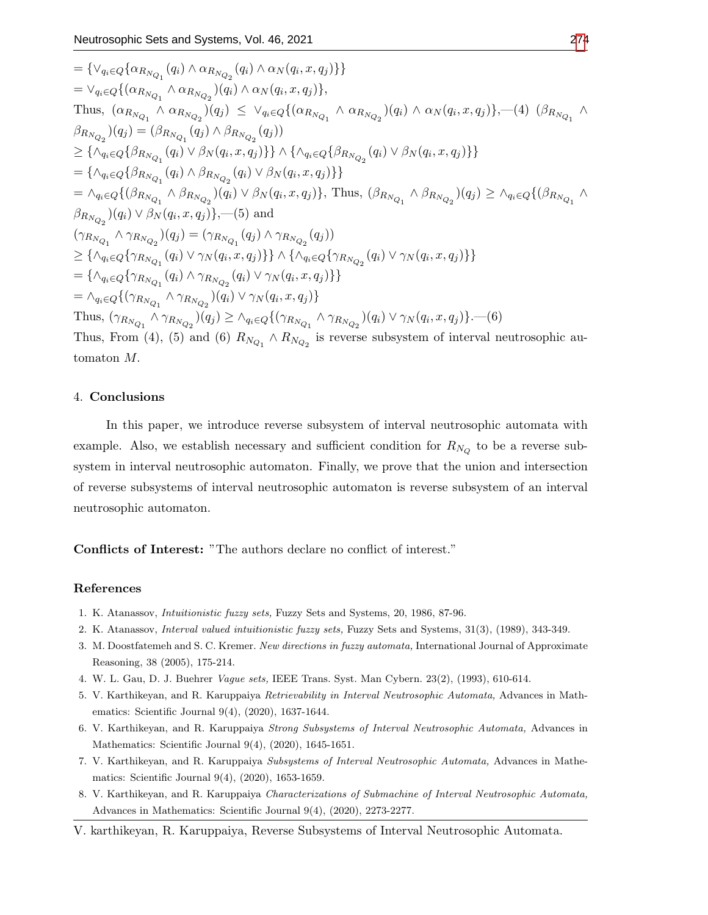$$
= \{\vee_{q_i \in Q} \{\alpha_{R_{N_{Q_1}}}(q_i) \wedge \alpha_{R_{N_{Q_2}}}(q_i) \wedge \alpha_N(q_i, x, q_j)\}\}\
$$
\n
$$
= \vee_{q_i \in Q} \{(\alpha_{R_{N_{Q_1}}} \wedge \alpha_{R_{N_{Q_2}}})(q_i) \wedge \alpha_N(q_i, x, q_j)\},
$$
\nThus,  $(\alpha_{R_{N_{Q_1}}} \wedge \alpha_{R_{N_{Q_2}}})(q_i) \leq \vee_{q_i \in Q} \{(\alpha_{R_{N_{Q_1}}} \wedge \alpha_{R_{N_{Q_2}}})(q_i) \wedge \alpha_N(q_i, x, q_j)\}, -(4) \ (\beta_{R_{N_{Q_1}}} \wedge \beta_{R_{N_{Q_2}}}(q_j) = (\beta_{R_{N_{Q_1}}}(q_j) \wedge \beta_{R_{N_{Q_2}}}(q_j))\)$ \n
$$
\geq \{\wedge_{q_i \in Q} \{\beta_{R_{N_{Q_1}}}(q_i) \vee \beta_N(q_i, x, q_j)\}\} \wedge \{\wedge_{q_i \in Q} \{\beta_{R_{N_{Q_2}}}(q_i) \vee \beta_N(q_i, x, q_j)\}\}\}\
$$
\n
$$
= \{\wedge_{q_i \in Q} \{\beta_{R_{N_{Q_1}}}(\alpha_i) \wedge \beta_{R_{N_{Q_2}}}(q_i) \vee \beta_N(q_i, x, q_j)\}\},
$$
\nThus,  $(\beta_{R_{N_{Q_1}}} \wedge \beta_{R_{N_{Q_2}}})(q_j) \geq \wedge_{q_i \in Q} \{(\beta_{R_{N_{Q_1}}} \wedge \beta_{R_{N_{Q_2}}})(q_i) \vee \beta_N(q_i, x, q_j)\}, -(5)$  and\n
$$
(\gamma_{R_{N_{Q_1}}} \wedge \gamma_{R_{N_{Q_2}}}(q_j) = (\gamma_{R_{N_{Q_1}}}(q_j) \wedge \gamma_{R_{N_{Q_2}}}(q_j))\)
$$
\n
$$
\geq \{\wedge_{q_i \in Q} \{\gamma_{R_{N_{Q_1}}}(\alpha_i) \vee \gamma_N(q_i, x, q_j)\}\} \wedge \{\wedge_{q_i \in Q} \{\gamma_{R_{N_{Q_1}}}(\alpha_i) \vee \gamma_N(q_i, x, q_j)\}\}\}
$$
\n
$$
= \{\wedge_{
$$

## 4. Conclusions

In this paper, we introduce reverse subsystem of interval neutrosophic automata with example. Also, we establish necessary and sufficient condition for  $R_{N_Q}$  to be a reverse subsystem in interval neutrosophic automaton. Finally, we prove that the union and intersection of reverse subsystems of interval neutrosophic automaton is reverse subsystem of an interval neutrosophic automaton.

Conflicts of Interest: "The authors declare no conflict of interest."

#### References

- <span id="page-6-1"></span>1. K. Atanassov, Intuitionistic fuzzy sets, Fuzzy Sets and Systems, 20, 1986, 87-96.
- <span id="page-6-2"></span>2. K. Atanassov, Interval valued intuitionistic fuzzy sets, Fuzzy Sets and Systems, 31(3), (1989), 343-349.
- <span id="page-6-0"></span>3. M. Doostfatemeh and S. C. Kremer. New directions in fuzzy automata, International Journal of Approximate Reasoning, 38 (2005), 175-214.
- <span id="page-6-3"></span>4. W. L. Gau, D. J. Buehrer Vague sets, IEEE Trans. Syst. Man Cybern. 23(2), (1993), 610-614.
- <span id="page-6-4"></span>5. V. Karthikeyan, and R. Karuppaiya Retrievability in Interval Neutrosophic Automata, Advances in Mathematics: Scientific Journal 9(4), (2020), 1637-1644.
- 6. V. Karthikeyan, and R. Karuppaiya Strong Subsystems of Interval Neutrosophic Automata, Advances in Mathematics: Scientific Journal 9(4), (2020), 1645-1651.
- 7. V. Karthikeyan, and R. Karuppaiya Subsystems of Interval Neutrosophic Automata, Advances in Mathematics: Scientific Journal 9(4), (2020), 1653-1659.
- <span id="page-6-5"></span>8. V. Karthikeyan, and R. Karuppaiya Characterizations of Submachine of Interval Neutrosophic Automata, Advances in Mathematics: Scientific Journal 9(4), (2020), 2273-2277.
- V. karthikeyan, R. Karuppaiya, Reverse Subsystems of Interval Neutrosophic Automata.